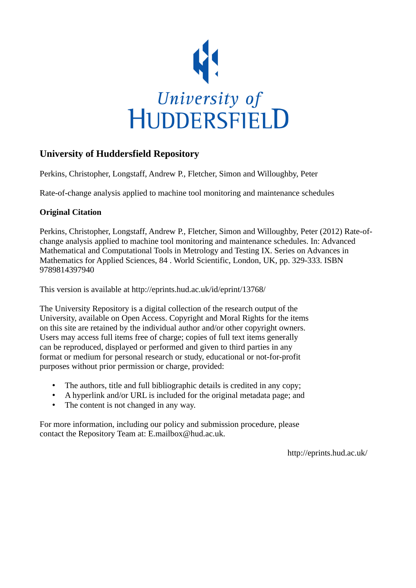

# **University of Huddersfield Repository**

Perkins, Christopher, Longstaff, Andrew P., Fletcher, Simon and Willoughby, Peter

Rate-of-change analysis applied to machine tool monitoring and maintenance schedules

## **Original Citation**

Perkins, Christopher, Longstaff, Andrew P., Fletcher, Simon and Willoughby, Peter (2012) Rate-ofchange analysis applied to machine tool monitoring and maintenance schedules. In: Advanced Mathematical and Computational Tools in Metrology and Testing IX. Series on Advances in Mathematics for Applied Sciences, 84 . World Scientific, London, UK, pp. 329-333. ISBN 9789814397940

This version is available at http://eprints.hud.ac.uk/id/eprint/13768/

The University Repository is a digital collection of the research output of the University, available on Open Access. Copyright and Moral Rights for the items on this site are retained by the individual author and/or other copyright owners. Users may access full items free of charge; copies of full text items generally can be reproduced, displayed or performed and given to third parties in any format or medium for personal research or study, educational or not-for-profit purposes without prior permission or charge, provided:

- The authors, title and full bibliographic details is credited in any copy;
- A hyperlink and/or URL is included for the original metadata page; and
- The content is not changed in any way.

For more information, including our policy and submission procedure, please contact the Repository Team at: E.mailbox@hud.ac.uk.

http://eprints.hud.ac.uk/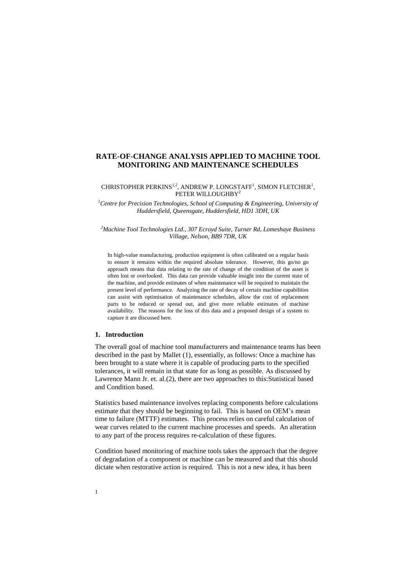## **RATE-OF-CHANGE ANALYSIS APPLIED TO MACHINE TOOL MONITORING AND MAINTENANCE SCHEDULES**

#### CHRISTOPHER PERKINS<sup>1,2</sup>, ANDREW P. LONGSTAFF<sup>1</sup>, SIMON FLETCHER<sup>1</sup>, PETER WILLOUGHBY<sup>2</sup>

*<sup>1</sup>Centre for Precision Technologies, School of Computing & Engineering, University of Huddersfield, Queensgate, Huddersfield, HD1 3DH, UK*

*<sup>2</sup>Machine Tool Technologies Ltd., 307 Ecroyd Suite, Turner Rd, Lomeshaye Business Village, Nelson, BB9 7DR, UK*

In high-value manufacturing, production equipment is often calibrated on a regular basis to ensure it remains within the required absolute tolerance. However, this go/no go approach means that data relating to the rate of change of the condition of the asset is often lost or overlooked. This data can provide valuable insight into the current state of the machine, and provide estimates of when maintenance will be required to maintain the present level of performance. Analyzing the rate of decay of certain machine capabilities can assist with optimisation of maintenance schedules, allow the cost of replacement parts to be reduced or spread out, and give more reliable estimates of machine availability. The reasons for the loss of this data and a proposed design of a system to capture it are discussed here.

## **1. Introduction**

The overall goal of machine tool manufacturers and maintenance teams has been described in the past by Mallet (1), essentially, as follows: Once a machine has been brought to a state where it is capable of producing parts to the specified tolerances, it will remain in that state for as long as possible. As discussed by Lawrence Mann Jr. et. al.(2), there are two approaches to this:Statistical based and Condition based.

Statistics based maintenance involves replacing components before calculations estimate that they should be beginning to fail. This is based on OEM's mean time to failure (MTTF) estimates. This process relies on careful calculation of wear curves related to the current machine processes and speeds. An alteration to any part of the process requires re-calculation of these figures.

Condition based monitoring of machine tools takes the approach that the degree of degradation of a component or machine can be measured and that this should dictate when restorative action is required. This is not a new idea, it has been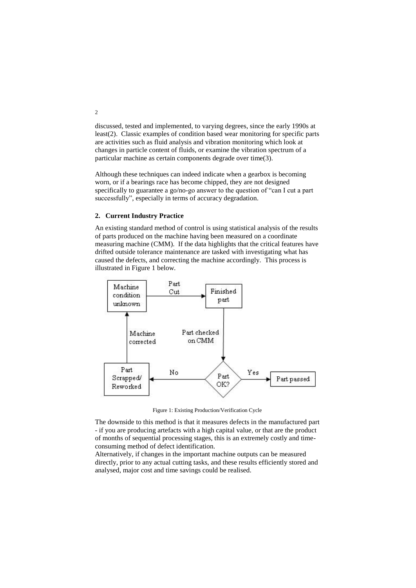discussed, tested and implemented, to varying degrees, since the early 1990s at least(2). Classic examples of condition based wear monitoring for specific parts are activities such as fluid analysis and vibration monitoring which look at changes in particle content of fluids, or examine the vibration spectrum of a particular machine as certain components degrade over time(3).

Although these techniques can indeed indicate when a gearbox is becoming worn, or if a bearings race has become chipped, they are not designed specifically to guarantee a go/no-go answer to the question of "can I cut a part successfully", especially in terms of accuracy degradation.

#### **2. Current Industry Practice**

An existing standard method of control is using statistical analysis of the results of parts produced on the machine having been measured on a coordinate measuring machine (CMM). If the data highlights that the critical features have drifted outside tolerance maintenance are tasked with investigating what has caused the defects, and correcting the machine accordingly. This process is illustrated in [Figure 1](#page-2-0) below.



Figure 1: Existing Production/Verification Cycle

<span id="page-2-0"></span>The downside to this method is that it measures defects in the manufactured part - if you are producing artefacts with a high capital value, or that are the product of months of sequential processing stages, this is an extremely costly and timeconsuming method of defect identification.

Alternatively, if changes in the important machine outputs can be measured directly, prior to any actual cutting tasks, and these results efficiently stored and analysed, major cost and time savings could be realised.

2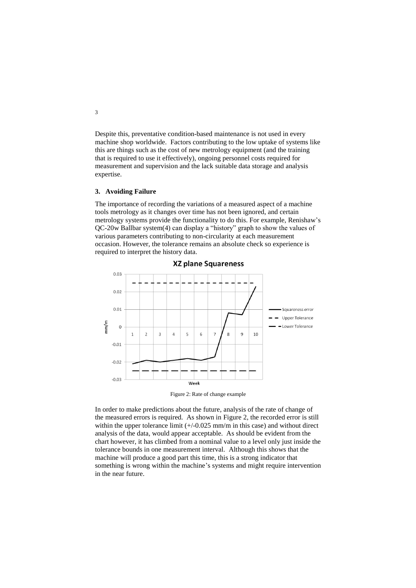Despite this, preventative condition-based maintenance is not used in every machine shop worldwide. Factors contributing to the low uptake of systems like this are things such as the cost of new metrology equipment (and the training that is required to use it effectively), ongoing personnel costs required for measurement and supervision and the lack suitable data storage and analysis expertise.

#### **3. Avoiding Failure**

The importance of recording the variations of a measured aspect of a machine tools metrology as it changes over time has not been ignored, and certain metrology systems provide the functionality to do this. For example, Renishaw's QC-20w Ballbar system(4) can display a "history" graph to show the values of various parameters contributing to non-circularity at each measurement occasion. However, the tolerance remains an absolute check so experience is required to interpret the history data.





Figure 2: Rate of change example

<span id="page-3-0"></span>In order to make predictions about the future, analysis of the rate of change of the measured errors is required. As shown in [Figure 2,](#page-3-0) the recorded error is still within the upper tolerance limit  $(+/-0.025$  mm/m in this case) and without direct analysis of the data, would appear acceptable. As should be evident from the chart however, it has climbed from a nominal value to a level only just inside the tolerance bounds in one measurement interval. Although this shows that the machine will produce a good part this time, this is a strong indicator that something is wrong within the machine's systems and might require intervention in the near future.

3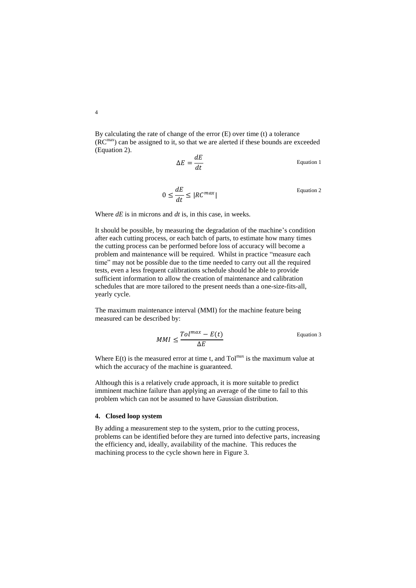By calculating the rate of change of the error (E) over time (t) a tolerance (RCmax) can be assigned to it, so that we are alerted if these bounds are exceeded [\(Equation 2\)](#page-4-0).

<span id="page-4-0"></span>
$$
\Delta E = \frac{dE}{dt}
$$
 Equation 1

$$
0 \le \frac{dE}{dt} \le |RC^{max}|
$$
 Equation 2

Where *dE* is in microns and *dt* is, in this case, in weeks.

It should be possible, by measuring the degradation of the machine's condition after each cutting process, or each batch of parts, to estimate how many times the cutting process can be performed before loss of accuracy will become a problem and maintenance will be required. Whilst in practice "measure each time" may not be possible due to the time needed to carry out all the required tests, even a less frequent calibrations schedule should be able to provide sufficient information to allow the creation of maintenance and calibration schedules that are more tailored to the present needs than a one-size-fits-all, yearly cycle.

The maximum maintenance interval (MMI) for the machine feature being measured can be described by:

$$
MMI \leq \frac{Tol^{max} - E(t)}{\Delta E}
$$
 Equation 3

Where  $E(t)$  is the measured error at time t, and  $Tol^{max}$  is the maximum value at which the accuracy of the machine is guaranteed.

Although this is a relatively crude approach, it is more suitable to predict imminent machine failure than applying an average of the time to fail to this problem which can not be assumed to have Gaussian distribution.

#### **4. Closed loop system**

By adding a measurement step to the system, prior to the cutting process, problems can be identified before they are turned into defective parts, increasing the efficiency and, ideally, availability of the machine. This reduces the machining process to the cycle shown here in [Figure 3.](#page-5-0)

4